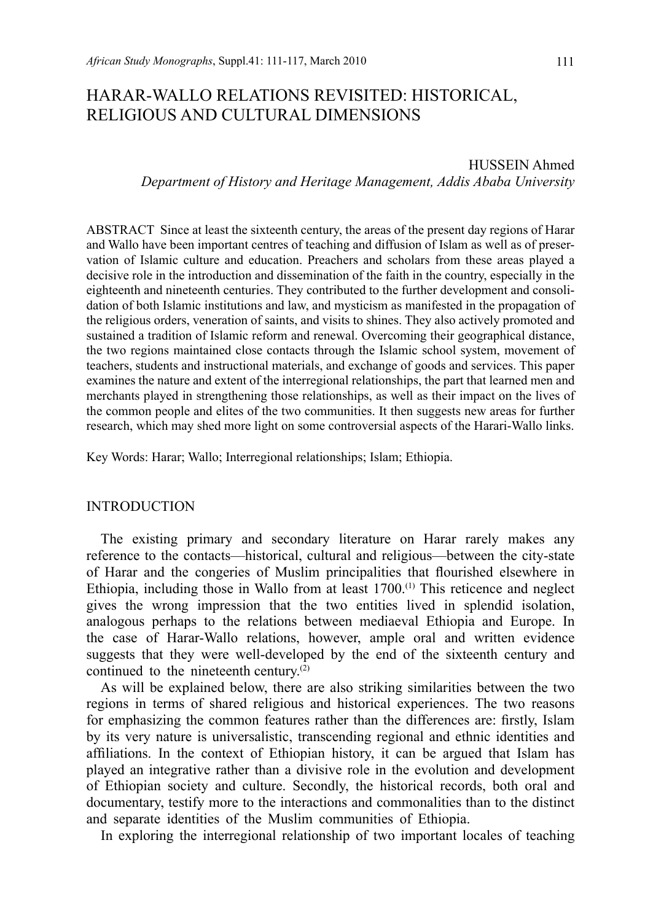# HARAR-WALLO RELATIONS REVISITED: HISTORICAL, RELIGIOUS AND CULTURAL DIMENSIONS

HUSSEIN Ahmed *Department of History and Heritage Management, Addis Ababa University*

ABSTRACT Since at least the sixteenth century, the areas of the present day regions of Harar and Wallo have been important centres of teaching and diffusion of Islam as well as of preservation of Islamic culture and education. Preachers and scholars from these areas played a decisive role in the introduction and dissemination of the faith in the country, especially in the eighteenth and nineteenth centuries. They contributed to the further development and consolidation of both Islamic institutions and law, and mysticism as manifested in the propagation of the religious orders, veneration of saints, and visits to shines. They also actively promoted and sustained a tradition of Islamic reform and renewal. Overcoming their geographical distance, the two regions maintained close contacts through the Islamic school system, movement of teachers, students and instructional materials, and exchange of goods and services. This paper examines the nature and extent of the interregional relationships, the part that learned men and merchants played in strengthening those relationships, as well as their impact on the lives of the common people and elites of the two communities. It then suggests new areas for further research, which may shed more light on some controversial aspects of the Harari-Wallo links.

Key Words: Harar; Wallo; Interregional relationships; Islam; Ethiopia.

#### INTRODUCTION

The existing primary and secondary literature on Harar rarely makes any reference to the contacts—historical, cultural and religious—between the city-state of Harar and the congeries of Muslim principalities that flourished elsewhere in Ethiopia, including those in Wallo from at least 1700.<sup>(1)</sup> This reticence and neglect gives the wrong impression that the two entities lived in splendid isolation, analogous perhaps to the relations between mediaeval Ethiopia and Europe. In the case of Harar-Wallo relations, however, ample oral and written evidence suggests that they were well-developed by the end of the sixteenth century and continued to the nineteenth century.<sup>(2)</sup>

As will be explained below, there are also striking similarities between the two regions in terms of shared religious and historical experiences. The two reasons for emphasizing the common features rather than the differences are: firstly, Islam by its very nature is universalistic, transcending regional and ethnic identities and affiliations. In the context of Ethiopian history, it can be argued that Islam has played an integrative rather than a divisive role in the evolution and development of Ethiopian society and culture. Secondly, the historical records, both oral and documentary, testify more to the interactions and commonalities than to the distinct and separate identities of the Muslim communities of Ethiopia.

In exploring the interregional relationship of two important locales of teaching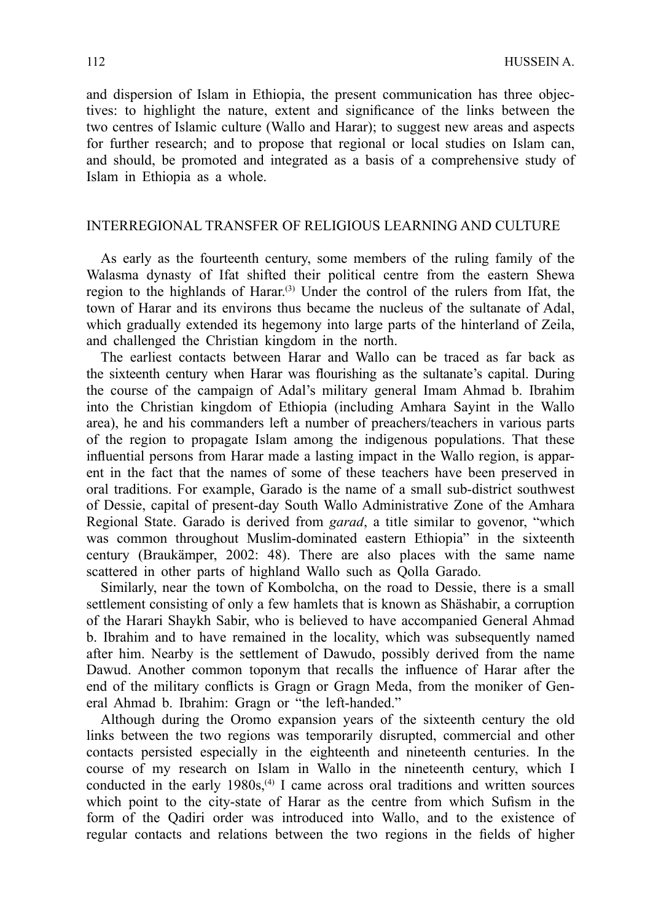and dispersion of Islam in Ethiopia, the present communication has three objectives: to highlight the nature, extent and significance of the links between the two centres of Islamic culture (Wallo and Harar); to suggest new areas and aspects for further research; and to propose that regional or local studies on Islam can, and should, be promoted and integrated as a basis of a comprehensive study of Islam in Ethiopia as a whole.

## INTERREGIONAL TRANSFER OF RELIGIOUS LEARNING AND CULTURE

As early as the fourteenth century, some members of the ruling family of the Walasma dynasty of Ifat shifted their political centre from the eastern Shewa region to the highlands of Harar.<sup>(3)</sup> Under the control of the rulers from Ifat, the town of Harar and its environs thus became the nucleus of the sultanate of Adal, which gradually extended its hegemony into large parts of the hinterland of Zeila, and challenged the Christian kingdom in the north.

The earliest contacts between Harar and Wallo can be traced as far back as the sixteenth century when Harar was flourishing as the sultanate's capital. During the course of the campaign of Adal's military general Imam Ahmad b. Ibrahim into the Christian kingdom of Ethiopia (including Amhara Sayint in the Wallo area), he and his commanders left a number of preachers/teachers in various parts of the region to propagate Islam among the indigenous populations. That these influential persons from Harar made a lasting impact in the Wallo region, is apparent in the fact that the names of some of these teachers have been preserved in oral traditions. For example, Garado is the name of a small sub-district southwest of Dessie, capital of present-day South Wallo Administrative Zone of the Amhara Regional State. Garado is derived from *garad*, a title similar to govenor, "which was common throughout Muslim-dominated eastern Ethiopia" in the sixteenth century (Braukämper, 2002: 48). There are also places with the same name scattered in other parts of highland Wallo such as Qolla Garado.

Similarly, near the town of Kombolcha, on the road to Dessie, there is a small settlement consisting of only a few hamlets that is known as Shäshabir, a corruption of the Harari Shaykh Sabir, who is believed to have accompanied General Ahmad b. Ibrahim and to have remained in the locality, which was subsequently named after him. Nearby is the settlement of Dawudo, possibly derived from the name Dawud. Another common toponym that recalls the influence of Harar after the end of the military conflicts is Gragn or Gragn Meda, from the moniker of General Ahmad b. Ibrahim: Gragn or "the left-handed."

Although during the Oromo expansion years of the sixteenth century the old links between the two regions was temporarily disrupted, commercial and other contacts persisted especially in the eighteenth and nineteenth centuries. In the course of my research on Islam in Wallo in the nineteenth century, which I conducted in the early  $1980s$ ,<sup>(4)</sup> I came across oral traditions and written sources which point to the city-state of Harar as the centre from which Sufism in the form of the Qadiri order was introduced into Wallo, and to the existence of regular contacts and relations between the two regions in the fields of higher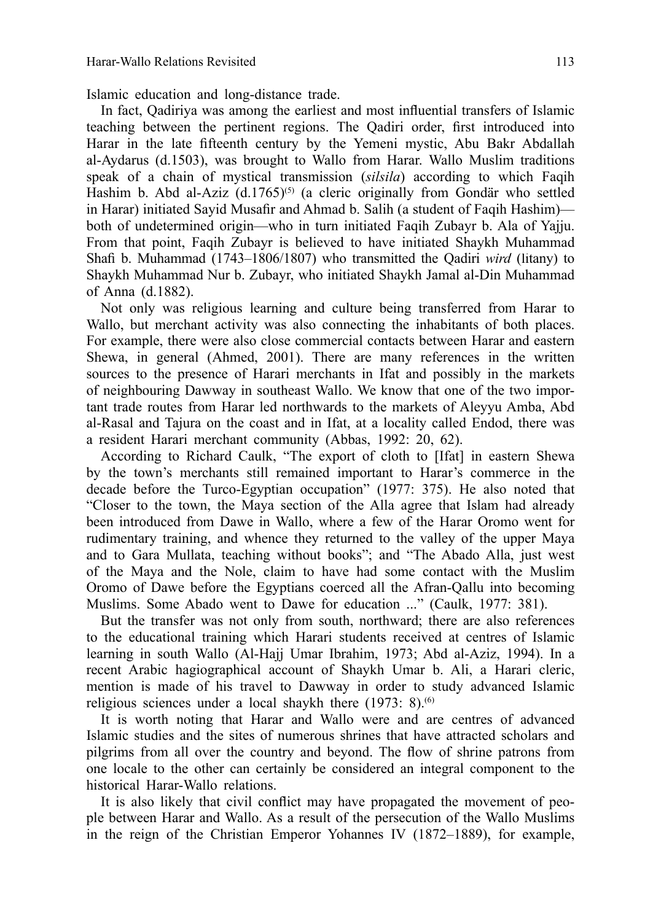Islamic education and long-distance trade.

In fact, Qadiriya was among the earliest and most influential transfers of Islamic teaching between the pertinent regions. The Qadiri order, first introduced into Harar in the late fifteenth century by the Yemeni mystic, Abu Bakr Abdallah al-Aydarus (d.1503), was brought to Wallo from Harar. Wallo Muslim traditions speak of a chain of mystical transmission (*silsila*) according to which Faqih Hashim b. Abd al-Aziz (d.1765)<sup>(5)</sup> (a cleric originally from Gondär who settled in Harar) initiated Sayid Musafir and Ahmad b. Salih (a student of Faqih Hashim) both of undetermined origin—who in turn initiated Faqih Zubayr b. Ala of Yajju. From that point, Faqih Zubayr is believed to have initiated Shaykh Muhammad Shafi b. Muhammad (1743–1806/1807) who transmitted the Qadiri *wird* (litany) to Shaykh Muhammad Nur b. Zubayr, who initiated Shaykh Jamal al-Din Muhammad of Anna (d.1882).

Not only was religious learning and culture being transferred from Harar to Wallo, but merchant activity was also connecting the inhabitants of both places. For example, there were also close commercial contacts between Harar and eastern Shewa, in general (Ahmed, 2001). There are many references in the written sources to the presence of Harari merchants in Ifat and possibly in the markets of neighbouring Dawway in southeast Wallo. We know that one of the two important trade routes from Harar led northwards to the markets of Aleyyu Amba, Abd al-Rasal and Tajura on the coast and in Ifat, at a locality called Endod, there was a resident Harari merchant community (Abbas, 1992: 20, 62).

According to Richard Caulk, "The export of cloth to [Ifat] in eastern Shewa by the town's merchants still remained important to Harar's commerce in the decade before the Turco-Egyptian occupation" (1977: 375). He also noted that "Closer to the town, the Maya section of the Alla agree that Islam had already been introduced from Dawe in Wallo, where a few of the Harar Oromo went for rudimentary training, and whence they returned to the valley of the upper Maya and to Gara Mullata, teaching without books"; and "The Abado Alla, just west of the Maya and the Nole, claim to have had some contact with the Muslim Oromo of Dawe before the Egyptians coerced all the Afran-Qallu into becoming Muslims. Some Abado went to Dawe for education ..." (Caulk, 1977: 381).

But the transfer was not only from south, northward; there are also references to the educational training which Harari students received at centres of Islamic learning in south Wallo (Al-Hajj Umar Ibrahim, 1973; Abd al-Aziz, 1994). In a recent Arabic hagiographical account of Shaykh Umar b. Ali, a Harari cleric, mention is made of his travel to Dawway in order to study advanced Islamic religious sciences under a local shaykh there  $(1973: 8)$ .<sup>(6)</sup>

It is worth noting that Harar and Wallo were and are centres of advanced Islamic studies and the sites of numerous shrines that have attracted scholars and pilgrims from all over the country and beyond. The flow of shrine patrons from one locale to the other can certainly be considered an integral component to the historical Harar-Wallo relations.

It is also likely that civil conflict may have propagated the movement of people between Harar and Wallo. As a result of the persecution of the Wallo Muslims in the reign of the Christian Emperor Yohannes IV (1872–1889), for example,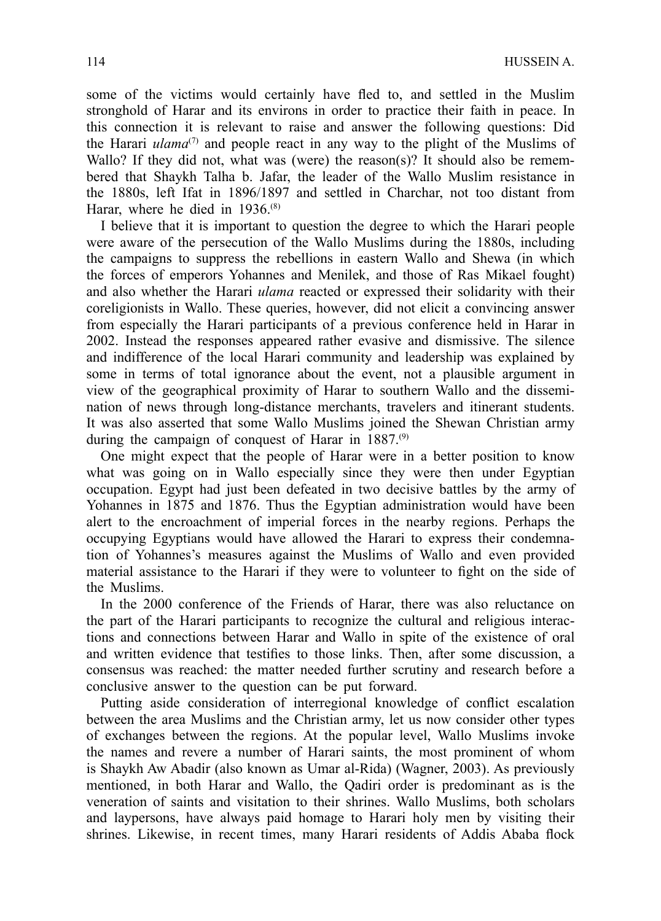some of the victims would certainly have fled to, and settled in the Muslim stronghold of Harar and its environs in order to practice their faith in peace. In this connection it is relevant to raise and answer the following questions: Did the Harari *ulama*<sup>(7)</sup> and people react in any way to the plight of the Muslims of Wallo? If they did not, what was (were) the reason(s)? It should also be remembered that Shaykh Talha b. Jafar, the leader of the Wallo Muslim resistance in the 1880s, left Ifat in 1896/1897 and settled in Charchar, not too distant from Harar, where he died in 1936.<sup>(8)</sup>

I believe that it is important to question the degree to which the Harari people were aware of the persecution of the Wallo Muslims during the 1880s, including the campaigns to suppress the rebellions in eastern Wallo and Shewa (in which the forces of emperors Yohannes and Menilek, and those of Ras Mikael fought) and also whether the Harari *ulama* reacted or expressed their solidarity with their coreligionists in Wallo. These queries, however, did not elicit a convincing answer from especially the Harari participants of a previous conference held in Harar in 2002. Instead the responses appeared rather evasive and dismissive. The silence and indifference of the local Harari community and leadership was explained by some in terms of total ignorance about the event, not a plausible argument in view of the geographical proximity of Harar to southern Wallo and the dissemination of news through long-distance merchants, travelers and itinerant students. It was also asserted that some Wallo Muslims joined the Shewan Christian army during the campaign of conquest of Harar in  $1887$ .<sup>(9)</sup>

One might expect that the people of Harar were in a better position to know what was going on in Wallo especially since they were then under Egyptian occupation. Egypt had just been defeated in two decisive battles by the army of Yohannes in 1875 and 1876. Thus the Egyptian administration would have been alert to the encroachment of imperial forces in the nearby regions. Perhaps the occupying Egyptians would have allowed the Harari to express their condemnation of Yohannes's measures against the Muslims of Wallo and even provided material assistance to the Harari if they were to volunteer to fight on the side of the Muslims.

In the 2000 conference of the Friends of Harar, there was also reluctance on the part of the Harari participants to recognize the cultural and religious interactions and connections between Harar and Wallo in spite of the existence of oral and written evidence that testifies to those links. Then, after some discussion, a consensus was reached: the matter needed further scrutiny and research before a conclusive answer to the question can be put forward.

Putting aside consideration of interregional knowledge of conflict escalation between the area Muslims and the Christian army, let us now consider other types of exchanges between the regions. At the popular level, Wallo Muslims invoke the names and revere a number of Harari saints, the most prominent of whom is Shaykh Aw Abadir (also known as Umar al-Rida) (Wagner, 2003). As previously mentioned, in both Harar and Wallo, the Qadiri order is predominant as is the veneration of saints and visitation to their shrines. Wallo Muslims, both scholars and laypersons, have always paid homage to Harari holy men by visiting their shrines. Likewise, in recent times, many Harari residents of Addis Ababa flock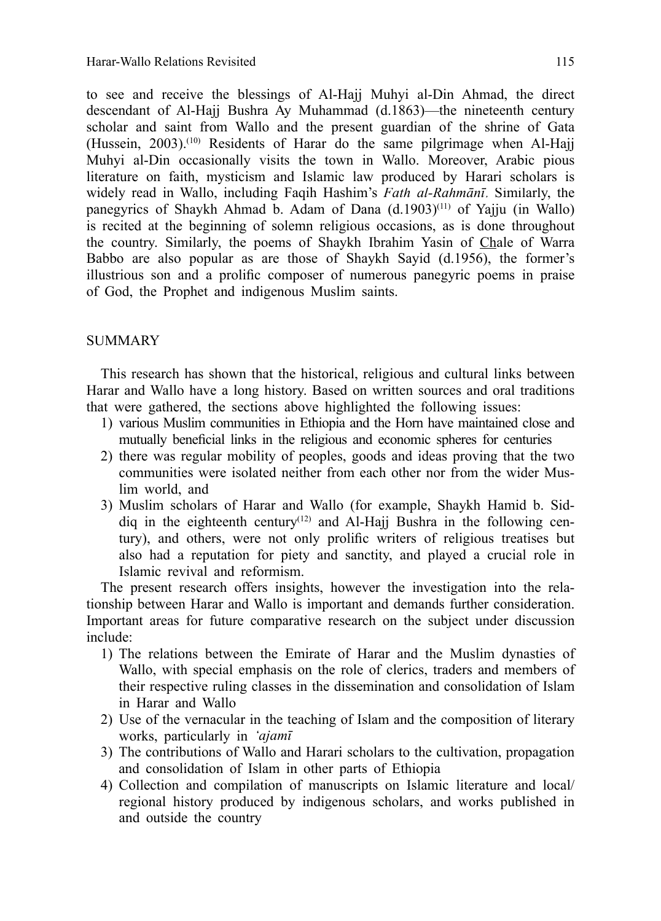to see and receive the blessings of Al-Hajj Muhyi al-Din Ahmad, the direct descendant of Al-Hajj Bushra Ay Muhammad (d.1863)—the nineteenth century scholar and saint from Wallo and the present guardian of the shrine of Gata (Hussein, 2003).<sup>(10)</sup> Residents of Harar do the same pilgrimage when Al-Hajj Muhyi al-Din occasionally visits the town in Wallo. Moreover, Arabic pious literature on faith, mysticism and Islamic law produced by Harari scholars is widely read in Wallo, including Faqih Hashim's *Fath al-Rahmānī*. Similarly, the panegyrics of Shaykh Ahmad b. Adam of Dana (d.1903) (11) of Yajju (in Wallo) is recited at the beginning of solemn religious occasions, as is done throughout the country. Similarly, the poems of Shaykh Ibrahim Yasin of Chale of Warra Babbo are also popular as are those of Shaykh Sayid (d.1956), the former's illustrious son and a prolific composer of numerous panegyric poems in praise of God, the Prophet and indigenous Muslim saints.

### SUMMARY

This research has shown that the historical, religious and cultural links between Harar and Wallo have a long history. Based on written sources and oral traditions that were gathered, the sections above highlighted the following issues:

- 1) various Muslim communities in Ethiopia and the Horn have maintained close and mutually beneficial links in the religious and economic spheres for centuries
- 2) there was regular mobility of peoples, goods and ideas proving that the two communities were isolated neither from each other nor from the wider Muslim world, and
- 3) Muslim scholars of Harar and Wallo (for example, Shaykh Hamid b. Siddiq in the eighteenth century<sup>(12)</sup> and Al-Hajj Bushra in the following century), and others, were not only prolific writers of religious treatises but also had a reputation for piety and sanctity, and played a crucial role in Islamic revival and reformism.

The present research offers insights, however the investigation into the relationship between Harar and Wallo is important and demands further consideration. Important areas for future comparative research on the subject under discussion include:

- 1) The relations between the Emirate of Harar and the Muslim dynasties of Wallo, with special emphasis on the role of clerics, traders and members of their respective ruling classes in the dissemination and consolidation of Islam in Harar and Wallo
- 2) Use of the vernacular in the teaching of Islam and the composition of literary works, particularly in *'ajamī*
- 3) The contributions of Wallo and Harari scholars to the cultivation, propagation and consolidation of Islam in other parts of Ethiopia
- 4) Collection and compilation of manuscripts on Islamic literature and local/ regional history produced by indigenous scholars, and works published in and outside the country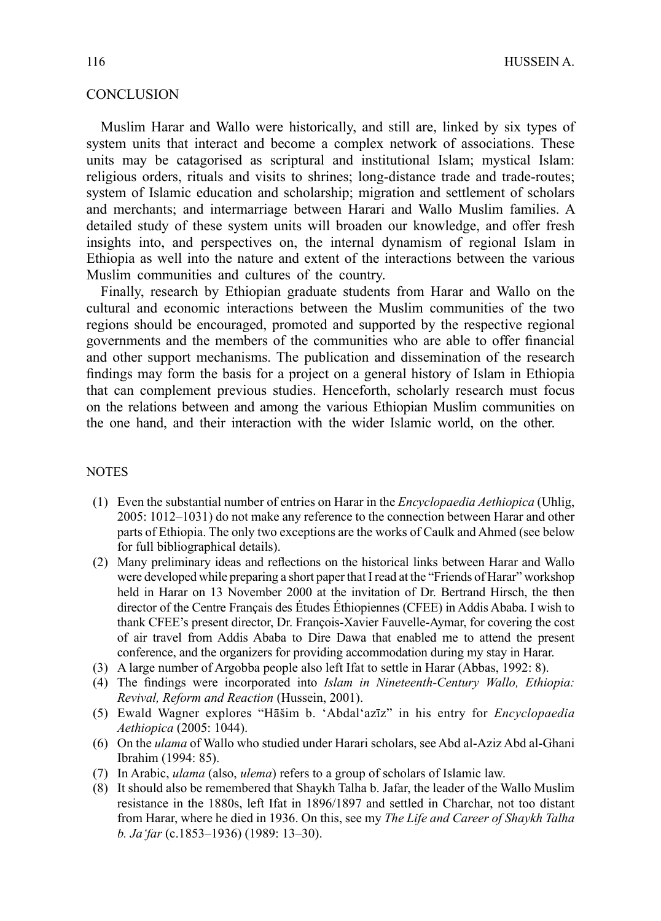## **CONCLUSION**

Muslim Harar and Wallo were historically, and still are, linked by six types of system units that interact and become a complex network of associations. These units may be catagorised as scriptural and institutional Islam; mystical Islam: religious orders, rituals and visits to shrines; long-distance trade and trade-routes; system of Islamic education and scholarship; migration and settlement of scholars and merchants; and intermarriage between Harari and Wallo Muslim families. A detailed study of these system units will broaden our knowledge, and offer fresh insights into, and perspectives on, the internal dynamism of regional Islam in Ethiopia as well into the nature and extent of the interactions between the various Muslim communities and cultures of the country.

Finally, research by Ethiopian graduate students from Harar and Wallo on the cultural and economic interactions between the Muslim communities of the two regions should be encouraged, promoted and supported by the respective regional governments and the members of the communities who are able to offer financial and other support mechanisms. The publication and dissemination of the research findings may form the basis for a project on a general history of Islam in Ethiopia that can complement previous studies. Henceforth, scholarly research must focus on the relations between and among the various Ethiopian Muslim communities on the one hand, and their interaction with the wider Islamic world, on the other.

#### **NOTES**

- (1) Even the substantial number of entries on Harar in the *Encyclopaedia Aethiopica* (Uhlig, 2005: 1012–1031) do not make any reference to the connection between Harar and other parts of Ethiopia. The only two exceptions are the works of Caulk and Ahmed (see below for full bibliographical details).
- (2) Many preliminary ideas and reflections on the historical links between Harar and Wallo were developed while preparing a short paper that I read at the "Friends of Harar" workshop held in Harar on 13 November 2000 at the invitation of Dr. Bertrand Hirsch, the then director of the Centre Français des Études Éthiopiennes (CFEE) in Addis Ababa. I wish to thank CFEE's present director, Dr. François-Xavier Fauvelle-Aymar, for covering the cost of air travel from Addis Ababa to Dire Dawa that enabled me to attend the present conference, and the organizers for providing accommodation during my stay in Harar.
- (3) A large number of Argobba people also left Ifat to settle in Harar (Abbas, 1992: 8).
- (4) The findings were incorporated into *Islam in Nineteenth-Century Wallo, Ethiopia*: *Revival, Reform and Reaction* (Hussein, 2001).
- (5) Ewald Wagner explores "Hāšim b. 'Abdal'azīz" in his entry for *Encyclopaedia Aethiopica* (2005: 1044).
- (6) On the *ulama* of Wallo who studied under Harari scholars, see Abd al-Aziz Abd al-Ghani Ibrahim (1994: 85).
- (7) In Arabic, *ulama* (also, *ulema*) refers to a group of scholars of Islamic law.
- (8) It should also be remembered that Shaykh Talha b. Jafar, the leader of the Wallo Muslim resistance in the 1880s, left Ifat in 1896/1897 and settled in Charchar, not too distant from Harar, where he died in 1936. On this, see my *The Life and Career of Shaykh Talha b. Ja'far* (c.1853–1936) (1989: 13–30).